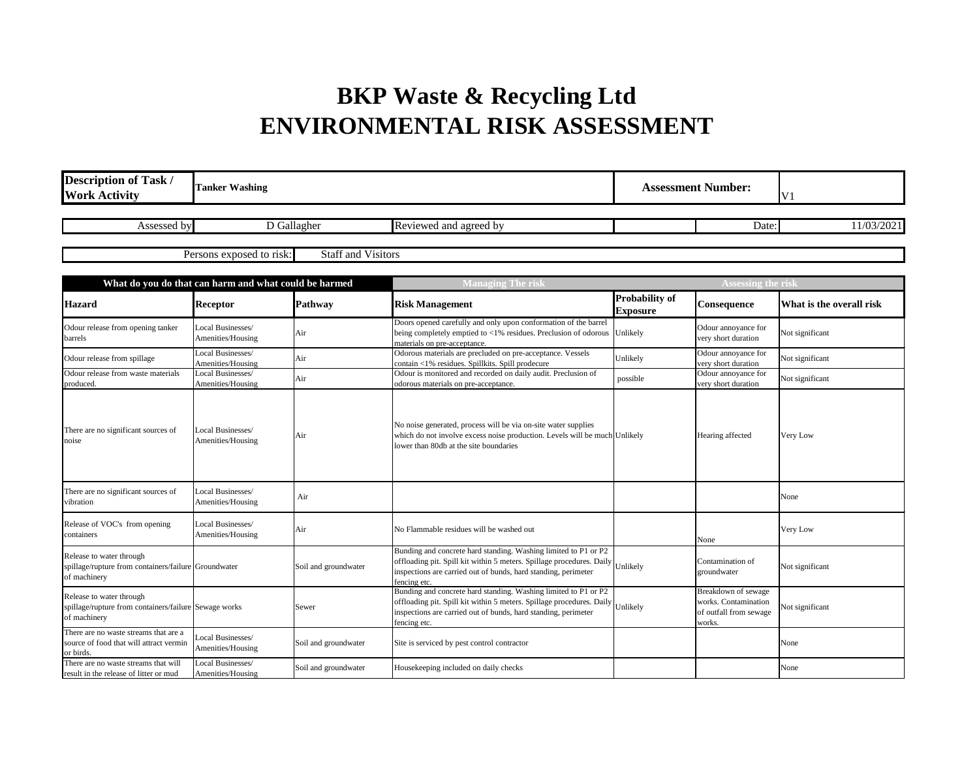## **BKP Waste & Recycling Ltd ENVIRONMENTAL RISK ASSESSMENT**

| <b>Description of Task /</b><br><b>Work Activity</b>                                              | <b>Tanker Washing</b>                  |                           | <b>Assessment Number:</b>                                                                                                                                                                                                           |                                          | V <sub>1</sub>                                                                  |                          |
|---------------------------------------------------------------------------------------------------|----------------------------------------|---------------------------|-------------------------------------------------------------------------------------------------------------------------------------------------------------------------------------------------------------------------------------|------------------------------------------|---------------------------------------------------------------------------------|--------------------------|
| Assessed by                                                                                       |                                        | D Gallagher               | Reviewed and agreed by                                                                                                                                                                                                              |                                          | Date:                                                                           | 11/03/2021               |
|                                                                                                   | Persons exposed to risk:               | <b>Staff and Visitors</b> |                                                                                                                                                                                                                                     |                                          |                                                                                 |                          |
| What do you do that can harm and what could be harmed                                             |                                        |                           | Managing The risk                                                                                                                                                                                                                   |                                          | <b>Assessing the risk</b>                                                       |                          |
| <b>Hazard</b>                                                                                     | <b>Receptor</b>                        | Pathway                   | <b>Risk Management</b>                                                                                                                                                                                                              | <b>Probability of</b><br><b>Exposure</b> | Consequence                                                                     | What is the overall risk |
| Odour release from opening tanker<br>barrels                                                      | Local Businesses/<br>Amenities/Housing | Air                       | Doors opened carefully and only upon conformation of the barrel<br>being completely emptied to $\langle 1\% \rangle$ residues. Preclusion of odorous Unlikely<br>materials on pre-acceptance.                                       |                                          | Odour annoyance for<br>very short duration                                      | Not significant          |
| Odour release from spillage                                                                       | Local Businesses/<br>Amenities/Housing | Air                       | Odorous materials are precluded on pre-acceptance. Vessels<br>contain <1% residues. Spillkits. Spill prodecure                                                                                                                      | Unlikely                                 | Odour annoyance for<br>very short duration                                      | Not significant          |
| Odour release from waste materials<br>produced.                                                   | Local Businesses/<br>Amenities/Housing | Air                       | Odour is monitored and recorded on daily audit. Preclusion of<br>odorous materials on pre-acceptance.                                                                                                                               | possible                                 | Odour annoyance for<br>very short duration                                      | Not significant          |
| There are no significant sources of<br>noise                                                      | Local Businesses/<br>Amenities/Housing | Air                       | No noise generated, process will be via on-site water supplies<br>which do not involve excess noise production. Levels will be much Unlikely<br>lower than 80db at the site boundaries                                              |                                          | Hearing affected                                                                | Very Low                 |
| There are no significant sources of<br>vibration                                                  | Local Businesses/<br>Amenities/Housing | Air                       |                                                                                                                                                                                                                                     |                                          |                                                                                 | None                     |
| Release of VOC's from opening<br>containers                                                       | Local Businesses/<br>Amenities/Housing | Air                       | No Flammable residues will be washed out                                                                                                                                                                                            |                                          | None                                                                            | Very Low                 |
| Release to water through<br>spillage/rupture from containers/failure Groundwater<br>of machinery  |                                        | Soil and groundwater      | Bunding and concrete hard standing. Washing limited to P1 or P2<br>offloading pit. Spill kit within 5 meters. Spillage procedures. Daily Unlikely<br>inspections are carried out of bunds, hard standing, perimeter<br>fencing etc. |                                          | Contamination of<br>groundwater                                                 | Not significant          |
| Release to water through<br>spillage/rupture from containers/failure Sewage works<br>of machinery |                                        | Sewer                     | Bunding and concrete hard standing. Washing limited to P1 or P2<br>offloading pit. Spill kit within 5 meters. Spillage procedures. Daily Unlikely<br>inspections are carried out of bunds, hard standing, perimeter<br>fencing etc. |                                          | Breakdown of sewage<br>works. Contamination<br>of outfall from sewage<br>works. | Not significant          |
| There are no waste streams that are a<br>source of food that will attract vermin<br>or birds.     | Local Businesses/<br>Amenities/Housing | Soil and groundwater      | Site is serviced by pest control contractor                                                                                                                                                                                         |                                          |                                                                                 | None                     |
| There are no waste streams that will<br>result in the release of litter or mud                    | Local Businesses/<br>Amenities/Housing | Soil and groundwater      | Housekeeping included on daily checks                                                                                                                                                                                               |                                          |                                                                                 | None                     |